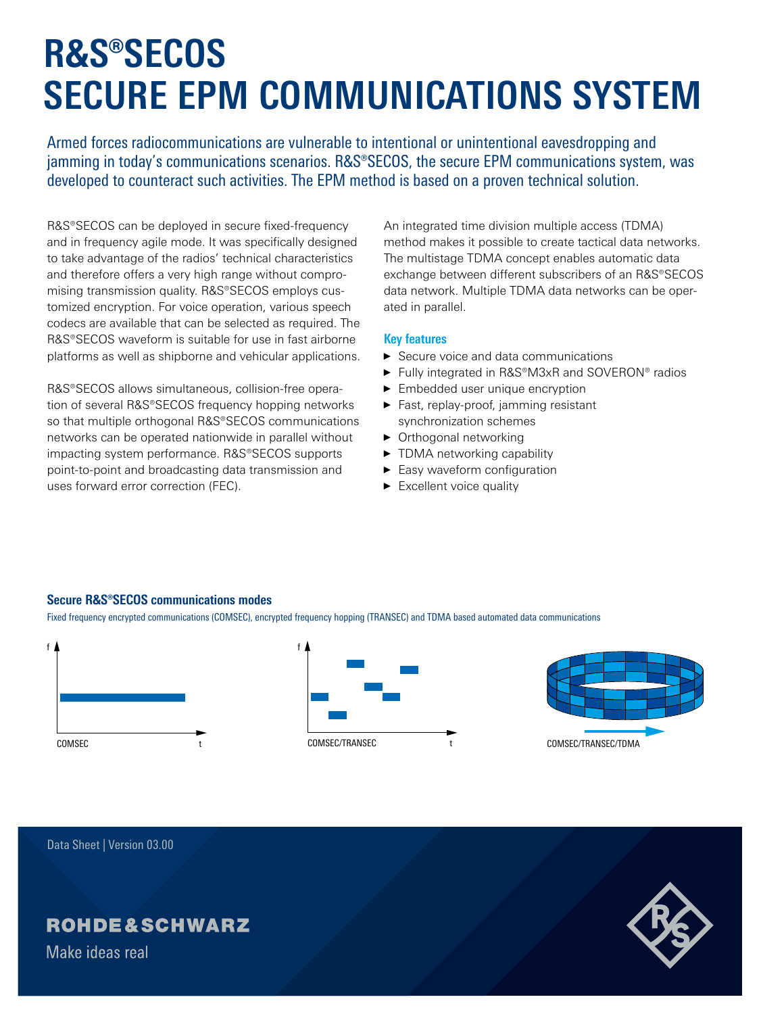# **R&S®SECOS SECURE EPM COMMUNICATIONS SYSTEM**

Armed forces radiocommunications are vulnerable to intentional or unintentional eavesdropping and jamming in today's communications scenarios. R&S®SECOS, the secure EPM communications system, was developed to counteract such activities. The EPM method is based on a proven technical solution.

R&S®SECOS can be deployed in secure fixed-frequency and in frequency agile mode. It was specifically designed to take advantage of the radios' technical characteristics and therefore offers a very high range without compromising transmission quality. R&S®SECOS employs customized encryption. For voice operation, various speech codecs are available that can be selected as required. The R&S®SECOS waveform is suitable for use in fast airborne platforms as well as shipborne and vehicular applications.

R&S®SECOS allows simultaneous, collision-free operation of several R&S®SECOS frequency hopping networks so that multiple orthogonal R&S®SECOS communications networks can be operated nationwide in parallel without impacting system performance. R&S®SECOS supports point-to-point and broadcasting data transmission and uses forward error correction (FEC).

An integrated time division multiple access (TDMA) method makes it possible to create tactical data networks. The multistage TDMA concept enables automatic data exchange between different subscribers of an R&S®SECOS data network. Multiple TDMA data networks can be operated in parallel.

#### **Key features**

- ► Secure voice and data communications
- ► Fully integrated in R&S®M3xR and SOVERON® radios
- ► Embedded user unique encryption
- ► Fast, replay-proof, jamming resistant synchronization schemes
- ► Orthogonal networking
- ► TDMA networking capability
- ► Easy waveform configuration
- ► Excellent voice quality

#### **Secure R&S®SECOS communications modes**

Fixed frequency encrypted communications (COMSEC), encrypted frequency hopping (TRANSEC) and TDMA based automated data communications







Data Sheet | Version 03.00

## **ROHDE&SCHWARZ**

Make ideas real